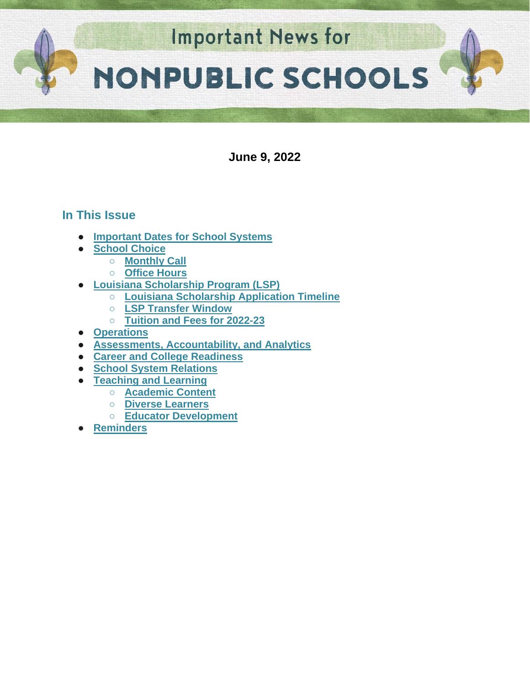

**June 9, 2022**

# **In This Issue**

- **[Important Dates for School Systems](#page-1-0)**
- **[School Choice](#page-2-0)** 
	- **[Monthly Call](#page-2-1)**
	- **[Office Hours](#page-2-2)**
	- **[Louisiana Scholarship Program \(LSP\)](#page-2-3)**
		- **[Louisiana Scholarship Application Timeline](#page-2-3)**
			- **[LSP Transfer Window](#page-3-0)**
			- **[Tuition and Fees for 2022-23](#page-3-1)**
- **[Operations](#page-2-0)**
- **[Assessments, Accountability, and Analytics](#page-4-0)**
- **[Career and College Readiness](#page-4-1)**
- **[School System Relations](#page-5-0)**
- **[Teaching and Learning](#page-6-0)** 
	- **[Academic Content](#page-6-1)**
	- **Diverse Learners**
	- **Educator Development**
- **[Reminders](#page-11-0)**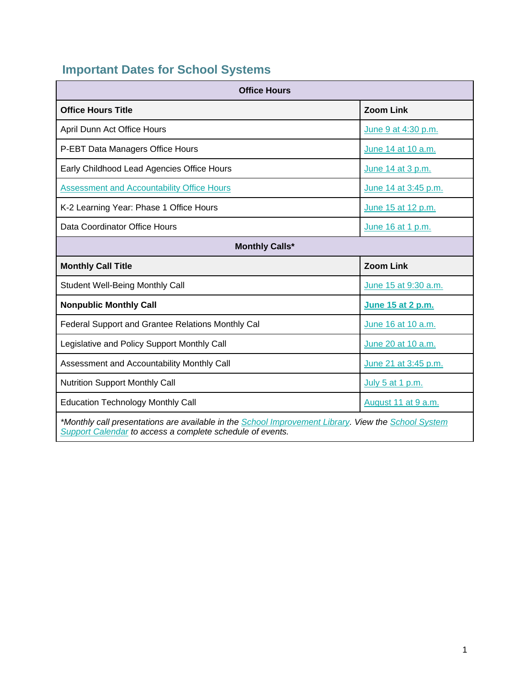# <span id="page-1-0"></span>**Important Dates for School Systems**

| <b>Office Hours</b>                                                                                                                                              |                      |  |  |  |
|------------------------------------------------------------------------------------------------------------------------------------------------------------------|----------------------|--|--|--|
| <b>Office Hours Title</b>                                                                                                                                        | <b>Zoom Link</b>     |  |  |  |
| April Dunn Act Office Hours                                                                                                                                      | June 9 at 4:30 p.m.  |  |  |  |
| P-EBT Data Managers Office Hours                                                                                                                                 | June 14 at 10 a.m.   |  |  |  |
| Early Childhood Lead Agencies Office Hours                                                                                                                       | June 14 at 3 p.m.    |  |  |  |
| <b>Assessment and Accountability Office Hours</b>                                                                                                                | June 14 at 3:45 p.m. |  |  |  |
| K-2 Learning Year: Phase 1 Office Hours                                                                                                                          | June 15 at 12 p.m.   |  |  |  |
| Data Coordinator Office Hours                                                                                                                                    | June 16 at 1 p.m.    |  |  |  |
| <b>Monthly Calls*</b>                                                                                                                                            |                      |  |  |  |
| <b>Monthly Call Title</b>                                                                                                                                        | <b>Zoom Link</b>     |  |  |  |
| <b>Student Well-Being Monthly Call</b>                                                                                                                           | June 15 at 9:30 a.m. |  |  |  |
| <b>Nonpublic Monthly Call</b>                                                                                                                                    | June 15 at 2 p.m.    |  |  |  |
| Federal Support and Grantee Relations Monthly Cal                                                                                                                | June 16 at 10 a.m.   |  |  |  |
| Legislative and Policy Support Monthly Call                                                                                                                      | June 20 at 10 a.m.   |  |  |  |
| Assessment and Accountability Monthly Call                                                                                                                       | June 21 at 3:45 p.m. |  |  |  |
| <b>Nutrition Support Monthly Call</b>                                                                                                                            | July 5 at 1 p.m.     |  |  |  |
| <b>Education Technology Monthly Call</b>                                                                                                                         | August 11 at 9 a.m.  |  |  |  |
| *Monthly call presentations are available in the School Improvement Library. View the School System<br>Support Calendar to access a complete schedule of events. |                      |  |  |  |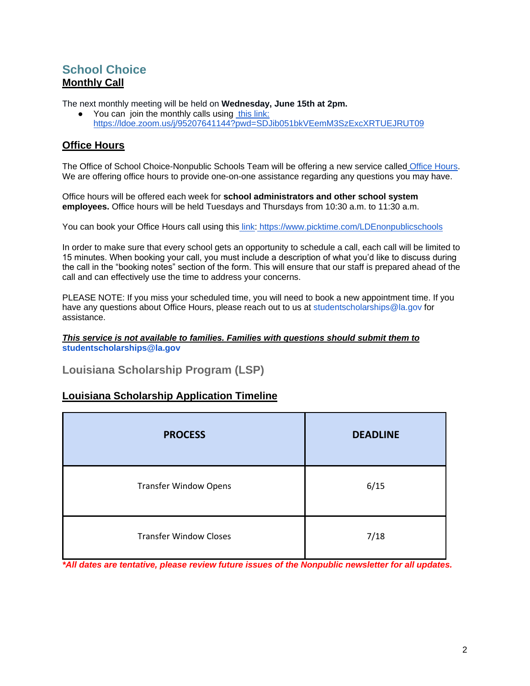# <span id="page-2-1"></span><span id="page-2-0"></span>**School Choice Monthly Call**

The next monthly meeting will be held on **Wednesday, June 15th at 2pm.**

You can join the monthly calls usin[g](https://ldoe.zoom.us/j/95207641144?pwd=SDJib051bkVEemM3SzExcXRTUEJRUT09) [this link:](https://ldoe.zoom.us/j/95207641144?pwd=SDJib051bkVEemM3SzExcXRTUEJRUT09) <https://ldoe.zoom.us/j/95207641144?pwd=SDJib051bkVEemM3SzExcXRTUEJRUT09>

## <span id="page-2-2"></span>**Office Hours**

The Office of School Choice-Nonpublic Schools Team will be offering a new service called [Office Hours.](https://www.picktime.com/LDEnonpublicschools) We are offering office hours to provide one-on-one assistance regarding any questions you may have.

Office hours will be offered each week for **school administrators and other school system employees.** Office hours will be held Tuesdays and Thursdays from 10:30 a.m. to 11:30 a.m.

You can book your Office Hours call using this [link:](https://www.picktime.com/LDEnonpublicschools) <https://www.picktime.com/LDEnonpublicschools>

In order to make sure that every school gets an opportunity to schedule a call, each call will be limited to 15 minutes. When booking your call, you must include a description of what you'd like to discuss during the call in the "booking notes" section of the form. This will ensure that our staff is prepared ahead of the call and can effectively use the time to address your concerns.

PLEASE NOTE: If you miss your scheduled time, you will need to book a new appointment time. If you have any questions about Office Hours, please reach out to us at studentscholarships@la.gov for assistance.

#### *This service is not available to families. Families with questions should submit them to*  **studentscholarships@la.gov**

**Louisiana Scholarship Program (LSP)**

### <span id="page-2-3"></span>**Louisiana Scholarship Application Timeline**

| <b>PROCESS</b>                | <b>DEADLINE</b> |  |
|-------------------------------|-----------------|--|
| <b>Transfer Window Opens</b>  | 6/15            |  |
| <b>Transfer Window Closes</b> | 7/18            |  |

*\*All dates are tentative, please review future issues of the Nonpublic newsletter for all updates.*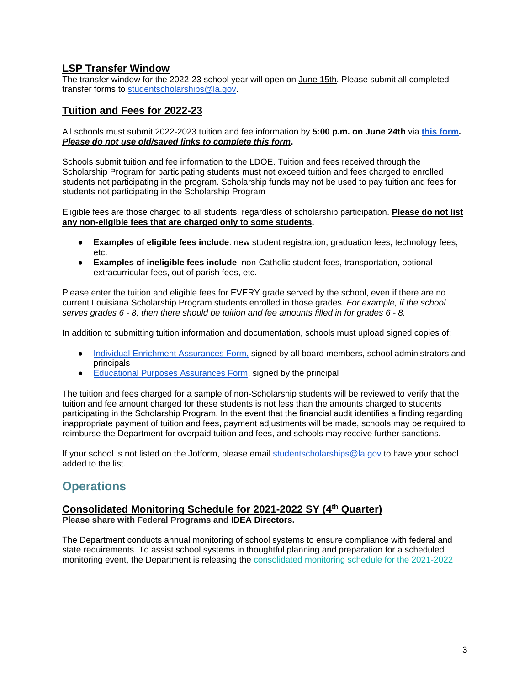### <span id="page-3-0"></span>**LSP Transfer Window**

The transfer window for the 2022-23 school year will open on June 15th. Please submit all completed transfer forms to [studentscholarships@la.gov.](mailto:studentscholarships@la.gov)

### <span id="page-3-1"></span>**Tuition and Fees for 2022-23**

All schools must submit 2022-2023 tuition and fee information by **5:00 p.m. on June 24th** vi[a](https://form.jotform.com/221565107309149) **[this form.](https://form.jotform.com/221565107309149)**  *Please do not use old/saved links to complete this form***.**

Schools submit tuition and fee information to the LDOE. Tuition and fees received through the Scholarship Program for participating students must not exceed tuition and fees charged to enrolled students not participating in the program. Scholarship funds may not be used to pay tuition and fees for students not participating in the Scholarship Program

Eligible fees are those charged to all students, regardless of scholarship participation. **Please do not list any non-eligible fees that are charged only to some students.** 

- **Examples of eligible fees include**: new student registration, graduation fees, technology fees, etc.
- **Examples of ineligible fees include**: non-Catholic student fees, transportation, optional extracurricular fees, out of parish fees, etc.

Please enter the tuition and eligible fees for EVERY grade served by the school, even if there are no current Louisiana Scholarship Program students enrolled in those grades. *For example, if the school serves grades 6 - 8, then there should be tuition and fee amounts filled in for grades 6 - 8.*

In addition to submitting tuition information and documentation, schools must upload signed copies of:

- [Individual Enrichment Assurances Form,](https://urldefense.proofpoint.com/v2/url?u=https-3A__drive.google.com_file_d_1fSbVOa37qWUYyWnhS4-5F-2DfaOg1WQgBXDX_view&d=DwMFAg&c=xlPCXuHzMdaH2Flc1sgyicYpGQbQbU9KDEmgNF3_wI0&r=P567e1YhJy265zNVv7fFPnov78solC_LIJ9Q16ha9js&m=ITTOyFstX1wecsA-RI5HNP9ftlo_xbto1ccmvG8KI7o&s=qAkZysqCt9dswSdlXH6isZ6LV-hA1nY5HIMyD_kW7cw&e=) signed by all board members, school administrators and principals
- [Educational](https://urldefense.proofpoint.com/v2/url?u=https-3A__drive.google.com_file_d_1-2DMr4A3bnpJqNK435-5FjjmwtBBmjUQFZ3c_view&d=DwMFAg&c=xlPCXuHzMdaH2Flc1sgyicYpGQbQbU9KDEmgNF3_wI0&r=P567e1YhJy265zNVv7fFPnov78solC_LIJ9Q16ha9js&m=ITTOyFstX1wecsA-RI5HNP9ftlo_xbto1ccmvG8KI7o&s=zHgvfjyjgAObnvYj4U7vDhTP7YOtXEYJa29L9vAb9Zk&e=) [Purposes Assurances Form,](https://urldefense.proofpoint.com/v2/url?u=https-3A__drive.google.com_file_d_1-2DMr4A3bnpJqNK435-5FjjmwtBBmjUQFZ3c_view&d=DwMFAg&c=xlPCXuHzMdaH2Flc1sgyicYpGQbQbU9KDEmgNF3_wI0&r=P567e1YhJy265zNVv7fFPnov78solC_LIJ9Q16ha9js&m=ITTOyFstX1wecsA-RI5HNP9ftlo_xbto1ccmvG8KI7o&s=zHgvfjyjgAObnvYj4U7vDhTP7YOtXEYJa29L9vAb9Zk&e=) signed by the principal

The tuition and fees charged for a sample of non-Scholarship students will be reviewed to verify that the tuition and fee amount charged for these students is not less than the amounts charged to students participating in the Scholarship Program. In the event that the financial audit identifies a finding regarding inappropriate payment of tuition and fees, payment adjustments will be made, schools may be required to reimburse the Department for overpaid tuition and fees, and schools may receive further sanctions.

If your school is not listed on the Jotform, please email [studentscholarships@la.gov](mailto:studentscholarships@la.gov) to have your school added to the list.

# **Operations**

### **Consolidated Monitoring Schedule for 2021-2022 SY (4th Quarter)**

**Please share with Federal Programs and IDEA Directors.**

The Department conducts annual monitoring of school systems to ensure compliance with federal and state requirements. To assist school systems in thoughtful planning and preparation for a scheduled monitoring event, the Department is releasing th[e](https://www.louisianabelieves.com/docs/default-source/links-for-newsletters/2021-2022-consolidated-monitoring-schedule_public_5-12-22.pdf) [consolidated monitoring schedule for the 2021-2022](https://www.louisianabelieves.com/docs/default-source/links-for-newsletters/2021-2022-consolidated-monitoring-schedule_public_5-12-22.pdf)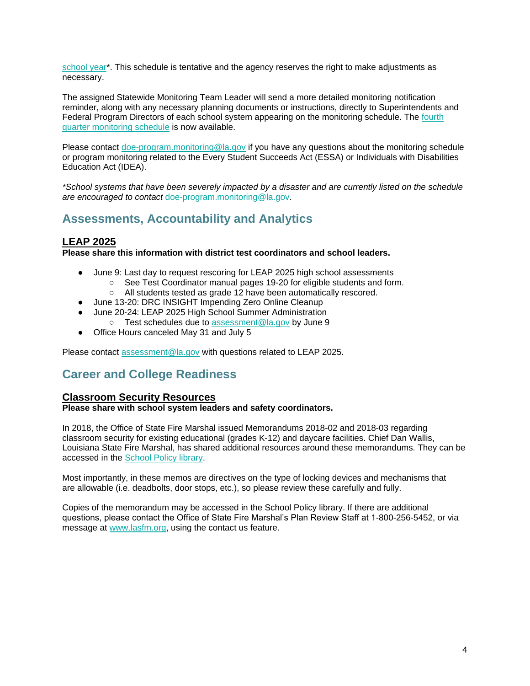[school year\\*](https://www.louisianabelieves.com/docs/default-source/links-for-newsletters/2021-2022-consolidated-monitoring-schedule_public_5-12-22.pdf). This schedule is tentative and the agency reserves the right to make adjustments as necessary.

The assigned Statewide Monitoring Team Leader will send a more detailed monitoring notification reminder, along with any necessary planning documents or instructions, directly to Superintendents and Federal Program Directors of each school system appearing on the monitoring schedule. Th[e](https://www.louisianabelieves.com/docs/default-source/links-for-newsletters/2021-2022_4th-quarter-monitoring-schedule-only_public.pdf) [fourth](https://www.louisianabelieves.com/docs/default-source/links-for-newsletters/2021-2022_4th-quarter-monitoring-schedule-only_public.pdf)  [quarter monitoring schedule](https://www.louisianabelieves.com/docs/default-source/links-for-newsletters/2021-2022_4th-quarter-monitoring-schedule-only_public.pdf) is now available.

Please contact [doe-program.monitoring@la.gov](mailto:DOE-program.monitoring@la.gov) if you have any questions about the monitoring schedule or program monitoring related to the Every Student Succeeds Act (ESSA) or Individuals with Disabilities Education Act (IDEA).

*\*School systems that have been severely impacted by a disaster and are currently listed on the schedule are encouraged to contact* [doe-program.monitoring@la.gov.](mailto:DOE-program.monitoring@la.gov)

# <span id="page-4-0"></span>**Assessments, Accountability and Analytics**

### **LEAP 2025**

**Please share this information with district test coordinators and school leaders.**

- June 9: Last day to request rescoring for LEAP 2025 high school assessments
	- See Test Coordinator manual pages 19-20 for eligible students and form.
		- All students tested as grade 12 have been automatically rescored.
- June 13-20: DRC INSIGHT Impending Zero Online Cleanup
- June 20-24: LEAP 2025 High School Summer Administration ○ Test schedules due to [assessment@la.gov](mailto:assessment@la.gov) by June 9
- Office Hours canceled May 31 and July 5

Please contact [assessment@la.gov](mailto:assessment@la.gov) with questions related to LEAP 2025.

# <span id="page-4-1"></span>**Career and College Readiness**

### **Classroom Security Resources**

**Please share with school system leaders and safety coordinators.**

In 2018, the Office of State Fire Marshal issued Memorandums 2018-02 and 2018-03 regarding classroom security for existing educational (grades K-12) and daycare facilities. Chief Dan Wallis, Louisiana State Fire Marshal, has shared additional resources around these memorandums. They can be accessed in the [School Policy library.](https://www.louisianabelieves.com/docs/default-source/policy/sfm-school-security-2022-memos.pdf?sfvrsn=6d696518_5/)

Most importantly, in these memos are directives on the type of locking devices and mechanisms that are allowable (i.e. deadbolts, door stops, etc.), so please review these carefully and fully.

Copies of the memorandum may be accessed in the School Policy library. If there are additional questions, please contact the Office of State Fire Marshal's Plan Review Staff at 1-800-256-5452, or via message at [www.lasfm.org,](http://www.lasfm.org/) using the contact us feature.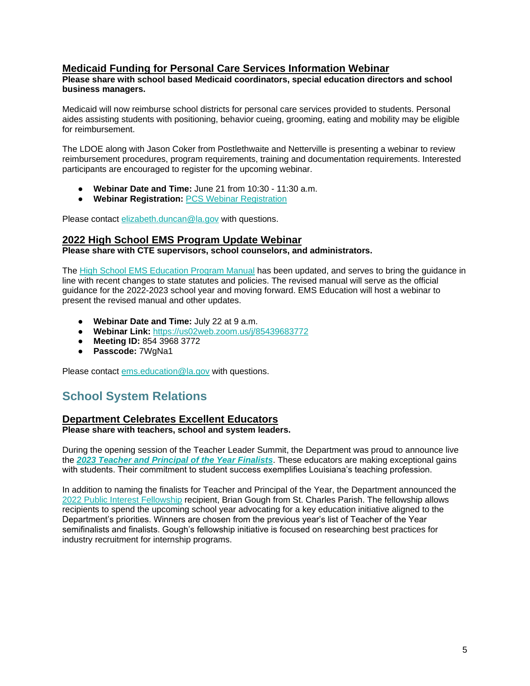### **Medicaid Funding for Personal Care Services Information Webinar**

#### **Please share with school based Medicaid coordinators, special education directors and school business managers.**

Medicaid will now reimburse school districts for personal care services provided to students. Personal aides assisting students with positioning, behavior cueing, grooming, eating and mobility may be eligible for reimbursement.

The LDOE along with Jason Coker from Postlethwaite and Netterville is presenting a webinar to review reimbursement procedures, program requirements, training and documentation requirements. Interested participants are encouraged to register for the upcoming webinar.

- **Webinar Date and Time:** June 21 from 10:30 11:30 a.m.
- **Webinar Registration:** [PCS Webinar Registration](https://forms.gle/9q1PG4ebn9epjFuu5)

Please contact [elizabeth.duncan@la.gov](mailto:elizabeth.duncan@la.gov) with questions.

### **2022 High School EMS Program Update Webinar**

**Please share with CTE supervisors, school counselors, and administrators.**

The [High School EMS Education Program Manual](https://ldh.la.gov/assets/oph/ems/2022/220524HighSchoolEMSEdProgramGuide.pdf) has been updated, and serves to bring the guidance in line with recent changes to state statutes and policies. The revised manual will serve as the official guidance for the 2022-2023 school year and moving forward. EMS Education will host a webinar to present the revised manual and other updates.

- **Webinar Date and Time:** July 22 at 9 a.m.
- **Webinar Link[:](https://us02web.zoom.us/j/85439683772?pwd=Wk53cFBPNjRJQnU5d0I3WmJERS85Zz09)** [https://us02web.zoom.us/j/85439683772](https://us02web.zoom.us/j/85439683772?pwd=Wk53cFBPNjRJQnU5d0I3WmJERS85Zz09)
- **Meeting ID:** 854 3968 3772
- **Passcode:** 7WgNa1

Please contact [ems.education@la.gov](mailto:ems.education@la.gov) with questions.

# <span id="page-5-0"></span>**School System Relations**

#### **Department Celebrates Excellent Educators Please share with teachers, school and system leaders.**

During the opening session of the Teacher Leader Summit, the Department was proud to announce live the *[2023 Teacher and Principal of the Year Finalists](https://www.louisianabelieves.com/docs/default-source/awards/2023-teacher-and-principal-of-the-year-finalists.pdf)*. These educators are making exceptional gains with students. Their commitment to student success exemplifies Louisiana's teaching profession.

In addition to naming the finalists for Teacher and Principal of the Year, the Department announced the [2022 Public Interest Fellowship](https://www.louisianabelieves.com/docs/default-source/awards/public-interest-fellowship-overview.pdf?sfvrsn=8bf19c1f_2) recipient, Brian Gough from St. Charles Parish. The fellowship allows recipients to spend the upcoming school year advocating for a key education initiative aligned to the Department's priorities. Winners are chosen from the previous year's list of Teacher of the Year semifinalists and finalists. Gough's fellowship initiative is focused on researching best practices for industry recruitment for internship programs.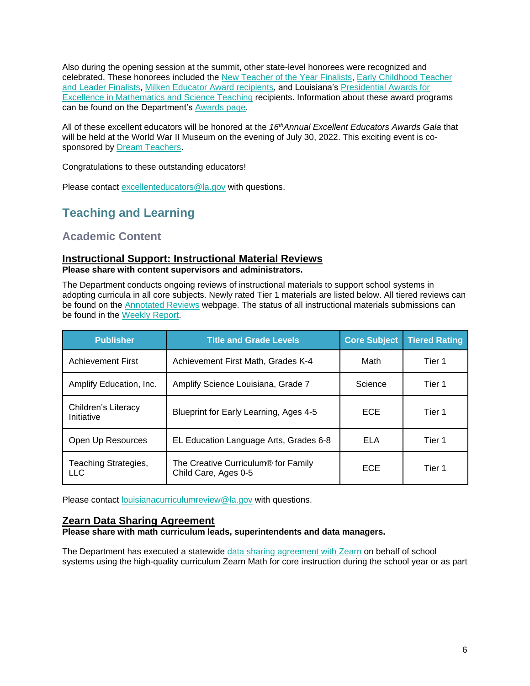Also during the opening session at the summit, other state-level honorees were recognized and celebrated. These honorees included the [New Teacher of the Year Finalists,](https://www.louisianabelieves.com/docs/default-source/awards/new-teacher-of-the-year-finalists-announcement.pdf) [Early Childhood Teacher](https://www.louisianabelieves.com/academics/award-programs)  [and Leader Finalists,](https://www.louisianabelieves.com/academics/award-programs) [Milken Educator Award recipients,](https://www.milkeneducatorawards.org/) and Louisiana's [Presidential Awards for](https://www.paemst.org/)  [Excellence in Mathematics and Science Teaching](https://www.paemst.org/) recipients. Information about these award programs can be found on the Department's [Awards page.](https://www.louisianabelieves.com/academics/award-programs)

All of these excellent educators will be honored at the *16thAnnual Excellent Educators Awards Gala* that will be held at the World War II Museum on the evening of July 30, 2022. This exciting event is cosponsored by **Dream Teachers**.

Congratulations to these outstanding educators!

Please contact excellenteducators@la.gov with questions.

# <span id="page-6-0"></span>**Teaching and Learning**

<span id="page-6-1"></span>**Academic Content**

### **Instructional Support: Instructional Material Reviews**

**Please share with content supervisors and administrators.** 

The Department conducts ongoing reviews of instructional materials to support school systems in adopting curricula in all core subjects. Newly rated Tier 1 materials are listed below. All tiered reviews can be found on the **Annotated Reviews** webpage. The status of all instructional materials submissions can be found in the [Weekly Report.](https://www.louisianabelieves.com/docs/default-source/curricular-resources/online-instructional-materials-reviews.pdf?sfvrsn=a26b841f_654)

| <b>Publisher</b>                   | <b>Title and Grade Levels</b>                                           | <b>Core Subject</b> | <b>Tiered Rating</b> |
|------------------------------------|-------------------------------------------------------------------------|---------------------|----------------------|
| <b>Achievement First</b>           | Achievement First Math, Grades K-4                                      | Math                | Tier 1               |
| Amplify Education, Inc.            | Amplify Science Louisiana, Grade 7                                      | Science             | Tier 1               |
| Children's Literacy<br>Initiative  | Blueprint for Early Learning, Ages 4-5                                  | ECE.                | Tier 1               |
| Open Up Resources                  | EL Education Language Arts, Grades 6-8                                  | <b>ELA</b>          | Tier 1               |
| Teaching Strategies,<br><b>LLC</b> | The Creative Curriculum <sup>®</sup> for Family<br>Child Care, Ages 0-5 | ECE.                | Tier 1               |

Please contact *[louisianacurriculumreview@la.gov](mailto:LouisianaCurriculumReview@la.gov)* with questions.

### **Zearn Data Sharing Agreement**

**Please share with math curriculum leads, superintendents and data managers.** 

The Department has executed a statewide [data sharing agreement with Zearn](https://www.louisianabelieves.com/docs/default-source/data-management/zearn---may-2022.pdf?sfvrsn=884a6518_2) on behalf of school systems using the high-quality curriculum Zearn Math for core instruction during the school year or as part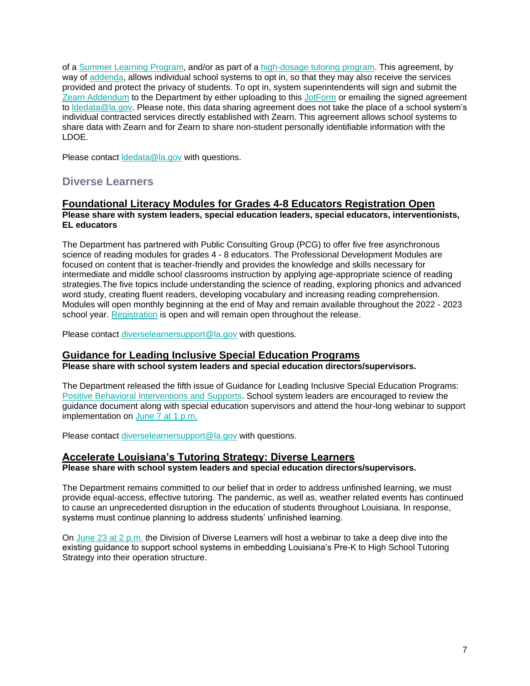of a [Summer Learning Program,](https://www.louisianabelieves.com/docs/default-source/accelerate/accelerate-math-summer-learning-2022.pdf?sfvrsn=7f746418_18) and/or as part of a [high-dosage tutoring program.](https://www.louisianabelieves.com/docs/default-source/accelerate/accelerate-math.pdf?sfvrsn=433c6618_30) This agreement, by way of [addenda,](https://www.louisianabelieves.com/docs/default-source/data-management/zearn---addendum.docx?sfvrsn=63496518_2) allows individual school systems to opt in, so that they may also receive the services provided and protect the privacy of students. To opt in, system superintendents will sign and submit the [Zearn Addendum](https://www.louisianabelieves.com/docs/default-source/data-management/zearn---addendum.docx?sfvrsn=63496518_2) to the Department by either uploading to this [JotForm](https://form.jotform.com/221037256699160) or emailing the signed agreement to [ldedata@la.gov.](mailto:LDEdata@la.gov) Please note, this data sharing agreement does not take the place of a school system's individual contracted services directly established with Zearn. This agreement allows school systems to share data with Zearn and for Zearn to share non-student personally identifiable information with the LDOE.

Please contact [ldedata@la.gov](mailto:LDEdata@la.gov) with questions.

### **Diverse Learners**

#### **Foundational Literacy Modules for Grades 4-8 Educators Registration Open Please share with system leaders, special education leaders, special educators, interventionists, EL educators**

The Department has partnered with Public Consulting Group (PCG) to offer five free asynchronous science of reading modules for grades 4 - 8 educators. The Professional Development Modules are focused on content that is teacher-friendly and provides the knowledge and skills necessary for intermediate and middle school classrooms instruction by applying age-appropriate science of reading strategies.The five topics include understanding the science of reading, exploring phonics and advanced word study, creating fluent readers, developing vocabulary and increasing reading comprehension. Modules will open monthly beginning at the end of May and remain available throughout the 2022 - 2023 school year. [Registration](https://forms.office.com/pages/responsepage.aspx?id=wxCx2SVMeUO5euJIk4zBe480GuvBKj1CvXxROcKQzeNUMlI4S0tDVFhPSkVXNU5DNkJDSlhXNkFHMy4u) is open and will remain open throughout the release.

Please contact [diverselearnersupport@la.gov](mailto:diverselearnersupport@la.gov) with questions.

### **Guidance for Leading Inclusive Special Education Programs**

**Please share with school system leaders and special education directors/supervisors.**

The Department released the fifth issue of Guidance for Leading Inclusive Special Education Programs: [Positive Behavioral Interventions and Supports.](https://louisianabelieves.com/docs/default-source/students-with-disabilities/guidance-for-leading-inclusive-special-education-programs---positive-behavior-intervention-supports-(may-2022).pdf?sfvrsn=474c6518_6) School system leaders are encouraged to review the guidance document along with special education supervisors and attend the hour-long webinar to support implementation on [June 7 at 1 p.m.](https://ldoe.zoom.us/j/99772844385?pwd=S2Noek80VjFvOU5ZTG5pQTZOeTRNQT09)

Please contact [diverselearnersupport@la.gov](mailto:diverselearnersupport@la.gov) with questions.

#### **Accelerate Louisiana's Tutoring Strategy: Diverse Learners Please share with school system leaders and special education directors/supervisors.**

The Department remains committed to our belief that in order to address unfinished learning, we must provide equal-access, effective tutoring. The pandemic, as well as, weather related events has continued to cause an unprecedented disruption in the education of students throughout Louisiana. In response, systems must continue planning to address students' unfinished learning.

On [June 23 at 2 p.m.](https://ldoe.zoom.us/j/92095514424) the Division of Diverse Learners will host a webinar to take a deep dive into the existing guidance to support school systems in embedding Louisiana's Pre-K to High School Tutoring Strategy into their operation structure.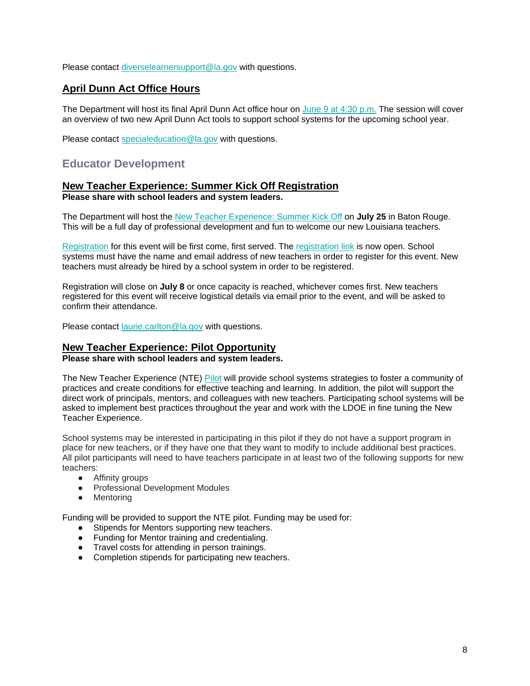Please contact [diverselearnersupport@la.gov](mailto:diverselearnersupport@la.gov) with questions.

### **April Dunn Act Office Hours**

The Department will host its final April Dunn Act office hour on [June 9 at 4:30 p.m.](https://ldoe.zoom.us/j/92880688555) The session will cover an overview of two new April Dunn Act tools to support school systems for the upcoming school year.

Please contact [specialeducation@la.gov](mailto:specialeducation@la.gov) with questions.

## **Educator Development**

#### **New Teacher Experience: Summer Kick Off Registration Please share with school leaders and system leaders.**

The Department will host the [New Teacher Experience: Summer Kick Off](https://www.louisianabelieves.com/docs/default-source/awards/new-teacher-experience-summer-kick-off.pdf?sfvrsn=fa4e6518_2) on **July 25** in Baton Rouge. This will be a full day of professional development and fun to welcome our new Louisiana teachers.

[Registration](https://docs.google.com/forms/d/e/1FAIpQLSfhekakJahgArZUUi0-BZWjbk4jKUVVmTZCiyN8cliZfIc9jg/viewform?usp=sf_link) for this event will be first come, first served. The [registration link](https://docs.google.com/forms/d/e/1FAIpQLSfhekakJahgArZUUi0-BZWjbk4jKUVVmTZCiyN8cliZfIc9jg/viewform?usp=sf_link) is now open. School systems must have the name and email address of new teachers in order to register for this event. New teachers must already be hired by a school system in order to be registered.

Registration will close on **July 8** or once capacity is reached, whichever comes first. New teachers registered for this event will receive logistical details via email prior to the event, and will be asked to confirm their attendance.

Please contact [laurie.carlton@la.gov](mailto:laurie.carlton@la.gov) with questions.

### **New Teacher Experience: Pilot Opportunity**

**Please share with school leaders and system leaders.**

The New Teacher Experience (NTE) [Pilot](https://www.louisianabelieves.com/docs/default-source/awards/new-teacher-experience-pilot-overview.pdf) will provide school systems strategies to foster a community of practices and create conditions for effective teaching and learning. In addition, the pilot will support the direct work of principals, mentors, and colleagues with new teachers. Participating school systems will be asked to implement best practices throughout the year and work with the LDOE in fine tuning the New Teacher Experience.

School systems may be interested in participating in this pilot if they do not have a support program in place for new teachers, or if they have one that they want to modify to include additional best practices. All pilot participants will need to have teachers participate in at least two of the following supports for new teachers:

- Affinity groups
- Professional Development Modules
- Mentoring

Funding will be provided to support the NTE pilot. Funding may be used for:

- Stipends for Mentors supporting new teachers.
- Funding for Mentor training and credentialing.
- Travel costs for attending in person trainings.
- Completion stipends for participating new teachers.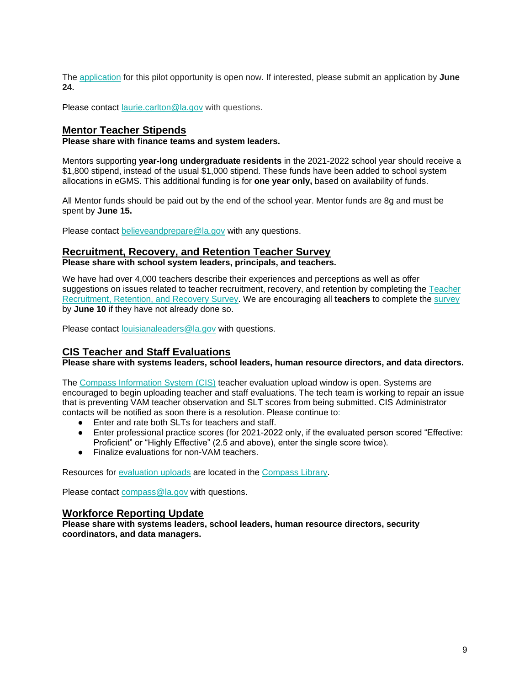The [application](https://docs.google.com/forms/d/e/1FAIpQLSfXpXTbVsgATUfszGUasz8u8FmATMATAzjMi7LnLUpN-B7Eug/viewform?usp=sf_link) for this pilot opportunity is open now. If interested, please submit an application by **June 24.**

Please contact [laurie.carlton@la.gov](mailto:laurie.carlton@la.gov) with questions.

#### **Mentor Teacher Stipends**

**Please share with finance teams and system leaders.**

Mentors supporting **year-long undergraduate residents** in the 2021-2022 school year should receive a \$1,800 stipend, instead of the usual \$1,000 stipend. These funds have been added to school system allocations in eGMS. This additional funding is for **one year only,** based on availability of funds.

All Mentor funds should be paid out by the end of the school year. Mentor funds are 8g and must be spent by **June 15.**

Please contact [believeandprepare@la.gov](mailto:believeandprepare@la.gov) with any questions.

#### **Recruitment, Recovery, and Retention Teacher Survey**

**Please share with school system leaders, principals, and teachers.**

We have had over 4,000 teachers describe their experiences and perceptions as well as offer suggestions on issues related to teacher recruitment, recovery, and retention by completing the [Teacher](https://survey.alchemer.com/s3/6839519/Region-14-CC-Teacher-Recruitment-Retention-and-Recovery-Survey)  [Recruitment, Retention, and Recovery Survey.](https://survey.alchemer.com/s3/6839519/Region-14-CC-Teacher-Recruitment-Retention-and-Recovery-Survey) We are encouraging all **teachers** to complete the [survey](https://survey.alchemer.com/s3/6839519/Region-14-CC-Teacher-Recruitment-Retention-and-Recovery-Survey)  by **June 10** if they have not already done so.

Please contact [louisianaleaders@la.gov](mailto:louisianaleaders@la.gov) with questions.

### **CIS Teacher and Staff Evaluations**

**Please share with systems leaders, school leaders, human resource directors, and data directors.**

The [Compass Information System \(CIS\)](https://leads13.doe.louisiana.gov/hcs/) teacher evaluation upload window is open. Systems are encouraged to begin uploading teacher and staff evaluations. The tech team is working to repair an issue that is preventing VAM teacher observation and SLT scores from being submitted. CIS Administrator contacts will be notified as soon there is a resolution. Please continue to:

- Enter and rate both SLTs for teachers and staff.
- Enter professional practice scores (for 2021-2022 only, if the evaluated person scored "Effective: Proficient" or "Highly Effective" (2.5 and above), enter the single score twice).
- Finalize evaluations for non-VAM teachers.

Resources for [evaluation uploads](https://www.louisianabelieves.com/docs/default-source/teaching/compass-information-system-evaluation-upload-guide.pdf?sfvrsn=2c216718_8) are located in the [Compass Library.](https://www.louisianabelieves.com/resources/library/compass)

Please contact [compass@la.gov](mailto:compass@la.gov) with questions.

#### **Workforce Reporting Update**

**Please share with systems leaders, school leaders, human resource directors, security coordinators, and data managers.**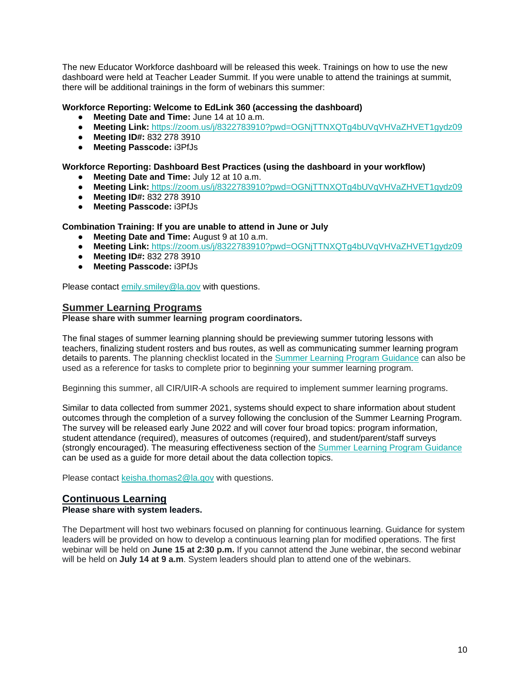The new Educator Workforce dashboard will be released this week. Trainings on how to use the new dashboard were held at Teacher Leader Summit. If you were unable to attend the trainings at summit, there will be additional trainings in the form of webinars this summer:

#### **Workforce Reporting: Welcome to EdLink 360 (accessing the dashboard)**

- **Meeting Date and Time:** June 14 at 10 a.m.
- **Meeting Link:** <https://zoom.us/j/8322783910?pwd=OGNjTTNXQTg4bUVqVHVaZHVET1gydz09>
- **Meeting ID#:** 832 278 3910
- **Meeting Passcode:** i3PfJs

#### **Workforce Reporting: Dashboard Best Practices (using the dashboard in your workflow)**

- **Meeting Date and Time:** July 12 at 10 a.m.
- **Meeting Link:** <https://zoom.us/j/8322783910?pwd=OGNjTTNXQTg4bUVqVHVaZHVET1gydz09>
- **Meeting ID#:** 832 278 3910
- **Meeting Passcode:** i3PfJs

#### **Combination Training: If you are unable to attend in June or July**

- **Meeting Date and Time:** August 9 at 10 a.m.
- **Meeting Link:** <https://zoom.us/j/8322783910?pwd=OGNjTTNXQTg4bUVqVHVaZHVET1gydz09>
- **Meeting ID#:** 832 278 3910
- **Meeting Passcode:** i3PfJs

Please contact [emily.smiley@la.gov](mailto:emily.smiley@la.gov) with questions.

#### **Summer Learning Programs**

#### **Please share with summer learning program coordinators.**

The final stages of summer learning planning should be previewing summer tutoring lessons with teachers, finalizing student rosters and bus routes, as well as communicating summer learning program details to parents. The planning checklist located in the [Summer Learning Program Guidance](https://www.louisianabelieves.com/docs/default-source/academics/summer-learning-program-guidance-2021.pdf?sfvrsn=9f5a6618_2) can also be used as a reference for tasks to complete prior to beginning your summer learning program.

Beginning this summer, all CIR/UIR-A schools are required to implement summer learning programs.

Similar to data collected from summer 2021, systems should expect to share information about student outcomes through the completion of a survey following the conclusion of the Summer Learning Program. The survey will be released early June 2022 and will cover four broad topics: program information, student attendance (required), measures of outcomes (required), and student/parent/staff surveys (strongly encouraged). The measuring effectiveness section of the [Summer Learning Program Guidance](https://www.louisianabelieves.com/docs/default-source/academics/summer-learning-program-guidance-2021.pdf?sfvrsn=9f5a6618_2) can be used as a guide for more detail about the data collection topics.

Please contact [keisha.thomas2@la.gov](mailto:Keisha.Thomas2@la.gov) with questions.

#### **Continuous Learning**

#### **Please share with system leaders.**

The Department will host two webinars focused on planning for continuous learning. Guidance for system leaders will be provided on how to develop a continuous learning plan for modified operations. The first webinar will be held on **June 15 at 2:30 p.m.** If you cannot attend the June webinar, the second webinar will be held on **July 14 at 9 a.m**. System leaders should plan to attend one of the webinars.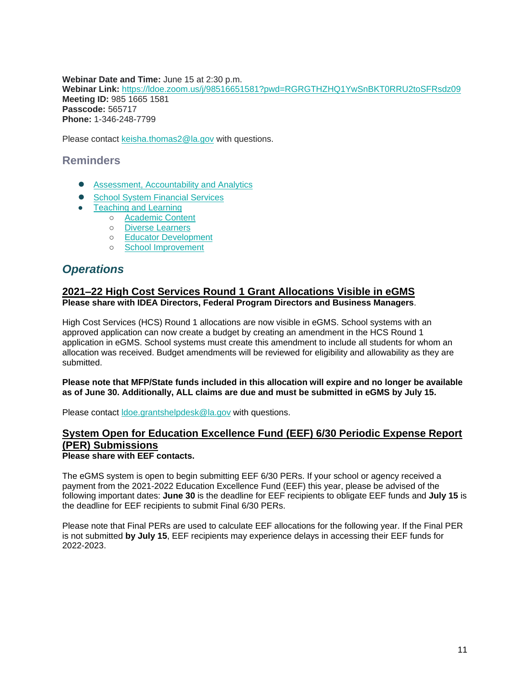**Webinar Date and Time:** June 15 at 2:30 p.m. **Webinar Link[:](https://ldoe.zoom.us/j/98516651581?pwd=RGRGTHZHQ1YwSnBKT0RRU2toSFRsdz09)** <https://ldoe.zoom.us/j/98516651581?pwd=RGRGTHZHQ1YwSnBKT0RRU2toSFRsdz09> **Meeting ID:** 985 1665 1581 **Passcode:** 565717 **Phone:** 1-346-248-7799

Please contact [keisha.thomas2@la.gov](mailto:Keisha.Thomas2@la.gov) with questions.

### <span id="page-11-0"></span>**Reminders**

- <span id="page-11-1"></span>● [Assessment, Accountability and Analytics](#page-11-1)
- School System [Financial Services](#page-12-0)
- [Teaching and Learning](#page-13-0)
	- [Academic Content](#page-13-1)
	- [Diverse Learners](#page-13-2)
	- [Educator Development](#page-14-0)
	- [School Improvement](#page-14-1)

# *Operations*

### **2021–22 High Cost Services Round 1 Grant Allocations Visible in eGMS Please share with IDEA Directors, Federal Program Directors and Business Managers**.

High Cost Services (HCS) Round 1 allocations are now visible in eGMS. School systems with an approved application can now create a budget by creating an amendment in the HCS Round 1 application in eGMS. School systems must create this amendment to include all students for whom an allocation was received. Budget amendments will be reviewed for eligibility and allowability as they are submitted.

#### **Please note that MFP/State funds included in this allocation will expire and no longer be available as of June 30. Additionally, ALL claims are due and must be submitted in eGMS by July 15.**

Please contact [ldoe.grantshelpdesk@la.gov](mailto:ldoe.grantshelpdesk@la.gov) with questions.

#### **System Open for Education Excellence Fund (EEF) 6/30 Periodic Expense Report (PER) Submissions Please share with EEF contacts.**

The eGMS system is open to begin submitting EEF 6/30 PERs. If your school or agency received a payment from the 2021-2022 Education Excellence Fund (EEF) this year, please be advised of the following important dates: **June 30** is the deadline for EEF recipients to obligate EEF funds and **July 15** is the deadline for EEF recipients to submit Final 6/30 PERs.

Please note that Final PERs are used to calculate EEF allocations for the following year. If the Final PER is not submitted **by July 15**, EEF recipients may experience delays in accessing their EEF funds for 2022-2023.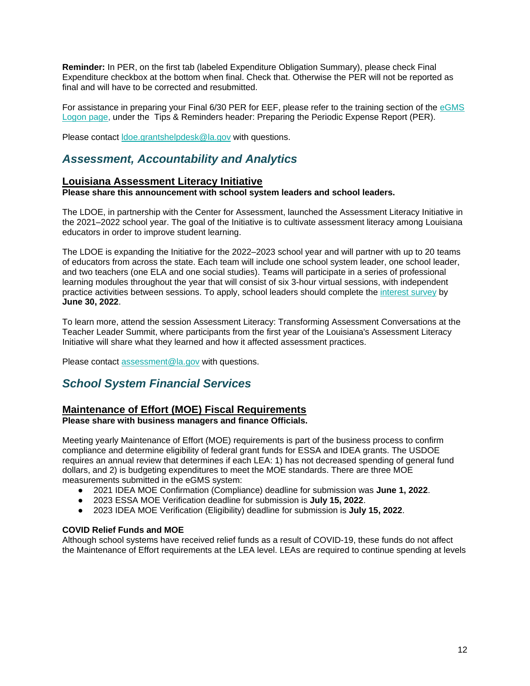**Reminder:** In PER, on the first tab (labeled Expenditure Obligation Summary), please check Final Expenditure checkbox at the bottom when final. Check that. Otherwise the PER will not be reported as final and will have to be corrected and resubmitted.

For assistance in preparing your Final 6/30 PER for EEF, please refer to the training section of the [eGMS](https://egmsp.doe.louisiana.gov/LDEGMSWeb/Logon.aspx)  [Logon page,](https://egmsp.doe.louisiana.gov/LDEGMSWeb/Logon.aspx) under the Tips & Reminders header: Preparing the Periodic Expense Report (PER).

Please contact [ldoe.grantshelpdesk@la.gov](mailto:ldoe.grantshelpdesk@la.gov) with questions.

# *Assessment, Accountability and Analytics*

### **Louisiana Assessment Literacy Initiative**

**Please share this announcement with school system leaders and school leaders.**

The LDOE, in partnership with the Center for Assessment, launched the Assessment Literacy Initiative in the 2021–2022 school year. The goal of the Initiative is to cultivate assessment literacy among Louisiana educators in order to improve student learning.

The LDOE is expanding the Initiative for the 2022–2023 school year and will partner with up to 20 teams of educators from across the state. Each team will include one school system leader, one school leader, and two teachers (one ELA and one social studies). Teams will participate in a series of professional learning modules throughout the year that will consist of six 3-hour virtual sessions, with independent practice activities between sessions. To apply, school leaders should complete th[e](https://docs.google.com/forms/d/e/1FAIpQLSc8wPVFqk3Qb062CCda0bGbANSellkZSzrizltgLqMdvPPreQ/viewform?usp=sf_link) [interest survey](https://docs.google.com/forms/d/e/1FAIpQLSc8wPVFqk3Qb062CCda0bGbANSellkZSzrizltgLqMdvPPreQ/viewform?usp=sf_link) by **June 30, 2022**.

To learn more, attend the session Assessment Literacy: Transforming Assessment Conversations at the Teacher Leader Summit, where participants from the first year of the Louisiana's Assessment Literacy Initiative will share what they learned and how it affected assessment practices.

Please contact [assessment@la.gov](mailto:assessment@la.gov) with questions.

### <span id="page-12-0"></span>*School System Financial Services*

### **Maintenance of Effort (MOE) Fiscal Requirements**

**Please share with business managers and finance Officials.**

Meeting yearly Maintenance of Effort (MOE) requirements is part of the business process to confirm compliance and determine eligibility of federal grant funds for ESSA and IDEA grants. The USDOE requires an annual review that determines if each LEA: 1) has not decreased spending of general fund dollars, and 2) is budgeting expenditures to meet the MOE standards. There are three MOE measurements submitted in the eGMS system:

- 2021 IDEA MOE Confirmation (Compliance) deadline for submission was **June 1, 2022**.
- 2023 ESSA MOE Verification deadline for submission is **July 15, 2022**.
- 2023 IDEA MOE Verification (Eligibility) deadline for submission is **July 15, 2022**.

#### **COVID Relief Funds and MOE**

Although school systems have received relief funds as a result of COVID-19, these funds do not affect the Maintenance of Effort requirements at the LEA level. LEAs are required to continue spending at levels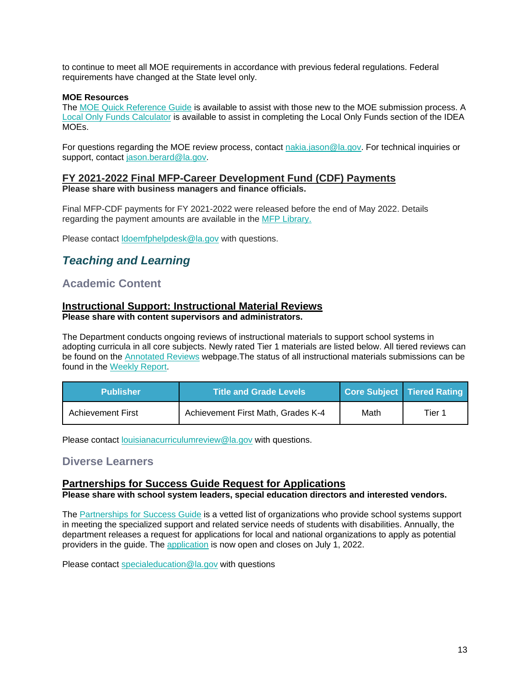to continue to meet all MOE requirements in accordance with previous federal regulations. Federal requirements have changed at the State level only.

#### **MOE Resources**

The [MOE Quick Reference Guide](https://www.louisianabelieves.com/docs/default-source/links-for-newsletters/maintenance-of-effort-quick-guide-for-egms-users-in-2022.pdf?sfvrsn=bb2e6518_2) is available to assist with those new to the MOE submission process. A [Local Only Funds Calculator](https://www.louisianabelieves.com/docs/default-source/links-for-newsletters/local-only-funds-calculatorc9b5035c8c9b66d6b292ff0000215f92.xlsx?sfvrsn=ba2e6518_2) is available to assist in completing the Local Only Funds section of the IDEA MOEs.

For questions regarding the MOE review process, contact [nakia.jason@la.gov.](mailto:nakia.jason@la.gov) For technical inquiries or support, contact [jason.berard@la.gov.](mailto:jason.berard@la.gov)

#### **FY 2021-2022 Final MFP-Career Development Fund (CDF) Payments Please share with business managers and finance officials.**

Final MFP-CDF payments for FY 2021-2022 were released before the end of May 2022. Details regarding the payment amounts are available in the MFP Library.

Please contact Idoemfphelpdesk@la.gov with questions.

# <span id="page-13-0"></span>*Teaching and Learning*

### <span id="page-13-1"></span>**Academic Content**

#### **Instructional Support: Instructional Material Reviews Please share with content supervisors and administrators.**

The Department conducts ongoing reviews of instructional materials to support school systems in adopting curricula in all core subjects. Newly rated Tier 1 materials are listed below. All tiered reviews can be found on the [Annotated Reviews](http://www.louisianabelieves.com/academics/ONLINE-INSTRUCTIONAL-MATERIALS-REVIEWS/curricular-resources-annotated-reviews) webpage.The status of all instructional materials submissions can be found in the [Weekly Report.](https://www.louisianabelieves.com/docs/default-source/curricular-resources/online-instructional-materials-reviews.pdf?sfvrsn=a26b841f_654)

| <b>Publisher</b>  | <b>Title and Grade Levels</b>      |      | Core Subject   Tiered Rating |
|-------------------|------------------------------------|------|------------------------------|
| Achievement First | Achievement First Math, Grades K-4 | Math | Tier 1                       |

Please contact [louisianacurriculumreview@la.gov](mailto:LouisianaCurriculumReview@la.gov) with questions.

### <span id="page-13-2"></span>**Diverse Learners**

### **Partnerships for Success Guide Request for Applications**

**Please share with school system leaders, special education directors and interested vendors.**

The [Partnerships for Success Guide](https://www.louisianabelieves.com/docs/default-source/students-with-disabilities/partnerships-for-success-guide.pdf?sfvrsn=3af99d1f_2) is a vetted list of organizations who provide school systems support in meeting the specialized support and related service needs of students with disabilities. Annually, the department releases a request for applications for local and national organizations to apply as potential providers in the guide. Th[e](https://docs.google.com/forms/d/e/1FAIpQLSdHatVDhfasD3Y6NtUJnMJaVzs8S41zLuFjqnSNeLhIA50ssQ/viewform?usp=sf_link) [application](https://docs.google.com/forms/d/e/1FAIpQLSdHatVDhfasD3Y6NtUJnMJaVzs8S41zLuFjqnSNeLhIA50ssQ/viewform?usp=sf_link) is now open and closes on July 1, 2022.

Please contact [specialeducation@la.gov](mailto:specialeducation@la.gov) with questions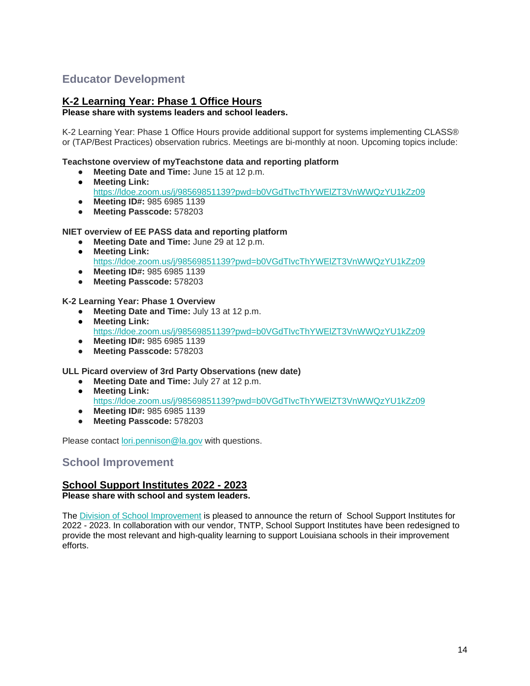# <span id="page-14-0"></span>**Educator Development**

### **K-2 Learning Year: Phase 1 Office Hours**

#### **Please share with systems leaders and school leaders.**

K-2 Learning Year: Phase 1 Office Hours provide additional support for systems implementing CLASS® or (TAP/Best Practices) observation rubrics. Meetings are bi-monthly at noon. Upcoming topics include:

#### **Teachstone overview of myTeachstone data and reporting platform**

- **Meeting Date and Time:** June 15 at 12 p.m.
- **Meeting Link:**  <https://ldoe.zoom.us/j/98569851139?pwd=b0VGdTIvcThYWElZT3VnWWQzYU1kZz09>
- **Meeting ID#:** 985 6985 1139
- **Meeting Passcode:** 578203

#### **NIET overview of EE PASS data and reporting platform**

- **Meeting Date and Time:** June 29 at 12 p.m.
- **Meeting Link:** <https://ldoe.zoom.us/j/98569851139?pwd=b0VGdTIvcThYWElZT3VnWWQzYU1kZz09>
- **Meeting ID#:** 985 6985 1139
- **Meeting Passcode:** 578203

#### **K-2 Learning Year: Phase 1 Overview**

- **Meeting Date and Time:** July 13 at 12 p.m.
- **Meeting Link:** <https://ldoe.zoom.us/j/98569851139?pwd=b0VGdTIvcThYWElZT3VnWWQzYU1kZz09>
- **Meeting ID#:** 985 6985 1139
- **Meeting Passcode:** 578203

### **ULL Picard overview of 3rd Party Observations (new date)**

- **Meeting Date and Time:** July 27 at 12 p.m.
- **Meeting Link:** 
	- <https://ldoe.zoom.us/j/98569851139?pwd=b0VGdTIvcThYWElZT3VnWWQzYU1kZz09>
- **Meeting ID#:** 985 6985 1139
- **Meeting Passcode:** 578203

Please contact [lori.pennison@la.gov](mailto:lori.pennison@la.gov) with questions.

### <span id="page-14-1"></span>**School Improvement**

### **School Support Institutes 2022 - 2023**

**Please share with school and system leaders.**

The [Division of School Improvement](https://www.louisianabelieves.com/schools/school-improvement) is pleased to announce the return of School Support Institutes for 2022 - 2023. In collaboration with our vendor, TNTP, School Support Institutes have been redesigned to provide the most relevant and high-quality learning to support Louisiana schools in their improvement efforts.